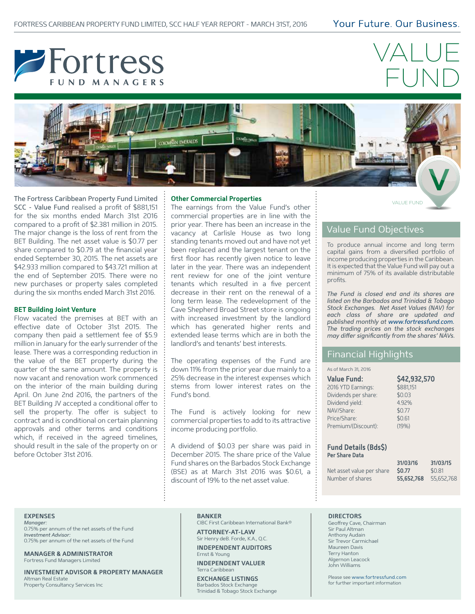

# VALUE FUND



VALUE FUND The Fortress Caribbean Property Fund Limited SCC - Value Fund realised a profit of \$881,151 for the six months ended March 31st 2016 compared to a profit of \$2.381 million in 2015. The major change is the loss of rent from the BET Building. The net asset value is \$0.77 per share compared to \$0.79 at the financial year ended September 30, 2015. The net assets are \$42.933 million compared to \$43.721 million at the end of September 2015. There were no new purchases or property sales completed during the six months ended March 31st 2016.

#### **BET Building Joint Venture**

Flow vacated the premises at BET with an effective date of October 31st 2015. The company then paid a settlement fee of \$5.9 million in January for the early surrender of the lease. There was a corresponding reduction in the value of the BET property during the quarter of the same amount. The property is now vacant and renovation work commenced on the interior of the main building during April. On June 2nd 2016, the partners of the BET Building JV accepted a conditional offer to sell the property. The offer is subject to contract and is conditional on certain planning approvals and other terms and conditions which, if received in the agreed timelines, should result in the sale of the property on or before October 31st 2016.

## **Other Commercial Properties**

The earnings from the Value Fund's other commercial properties are in line with the prior year. There has been an increase in the vacancy at Carlisle House as two long standing tenants moved out and have not yet been replaced and the largest tenant on the first floor has recently given notice to leave later in the year. There was an independent rent review for one of the joint venture tenants which resulted in a five percent decrease in their rent on the renewal of a long term lease. The redevelopment of the Cave Shepherd Broad Street store is ongoing with increased investment by the landlord which has generated higher rents and extended lease terms which are in both the landlord's and tenants' best interests.

The operating expenses of the Fund are down 11% from the prior year due mainly to a 25% decrease in the interest expenses which stems from lower interest rates on the Fund's bond.

The Fund is actively looking for new commercial properties to add to its attractive income producing portfolio.

A dividend of \$0.03 per share was paid in December 2015. The share price of the Value Fund shares on the Barbados Stock Exchange (BSE) as at March 31st 2016 was \$0.61, a discount of 19% to the net asset value.

## Value Fund Objectives

To produce annual income and long term capital gains from a diversified portfolio of income producing properties in the Caribbean. It is expected that the Value Fund will pay out a minimum of 75% of its available distributable profits.

*The Fund is closed end and its shares are listed on the Barbados and Trinidad & Tobago Stock Exchanges. Net Asset Values (NAV) for each class of share are updated and published monthly at www.fortressfund.com. The trading prices on the stock exchanges*  may differ significantly from the shares' NAVs.

## Financial Highlights

#### As of March 31, 2016

| <b>Value Fund:</b>   | \$42,932,570 |
|----------------------|--------------|
| 2016 YTD Earnings:   | \$881,151    |
| Dividends per share: | \$0.03       |
| Dividend yield:      | 4.92%        |
| NAV/Share:           | \$0.77       |
| Price/Share:         | \$0.61       |
| Premium/(Discount):  | (19%)        |

#### **Fund Details (Bds\$) Per Share Data**

|                           | 31/03/16              | 31/03/15 |
|---------------------------|-----------------------|----------|
| Net asset value per share | S <sub>0.77</sub>     | \$0.81   |
| Number of shares          | 55.652.768 55.652.768 |          |

## **EXPENSES**

*Manager:*  0.75% per annum of the net assets of the Fund *Investment Advisor:*  0.75% per annum of the net assets of the Fund

**MANAGER & ADMINISTRATOR** Fortress Fund Managers Limited

**INVESTMENT ADVISOR & PROPERTY MANAGER** Altman Real Estate Property Consultancy Services Inc

#### **BANKER**

CIBC First Caribbean International Bank® **ATTORNEY-AT-LAW**

Sir Henry deB. Forde, K.A., Q.C. **INDEPENDENT AUDITORS**

Ernst & Young **INDEPENDENT VALUER**

Terra Caribbean

**EXCHANGE LISTINGS** Barbados Stock Exchange Trinidad & Tobago Stock Exchange

## **DIRECTORS**

Geoffrey Cave, Chairman Sir Paul Altman Anthony Audain Sir Trevor Carmichael Maureen Davis Terry Hanton Algernon Leacock John Williams

Please see www.fortressfund.com for further important information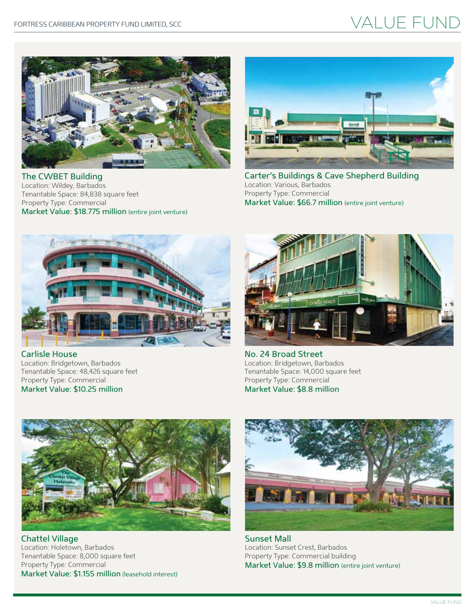## VALUE FUND



The CWBET Building Location: Wildey, Barbados Tenantable Space: 84,838 square feet Property Type: Commercial Market Value: \$18.775 million (entire joint venture)



Carter's Buildings & Cave Shepherd Building Location: Various, Barbados Property Type: Commercial Market Value: \$66.7 million (entire joint venture)



Carlisle House Location: Bridgetown, Barbados Tenantable Space: 48,426 square feet Property Type: Commercial Market Value: \$10.25 million



No. 24 Broad Street Location: Bridgetown, Barbados Tenantable Space: 14,000 square feet Property Type: Commercial Market Value: \$8.8 million



Chattel Village Location: Holetown, Barbados Tenantable Space: 8,000 square feet Property Type: Commercial Market Value: \$1.155 million (leasehold interest)



Sunset Mall Location: Sunset Crest, Barbados Property Type: Commercial building Market Value: \$9.8 million (entire joint venture)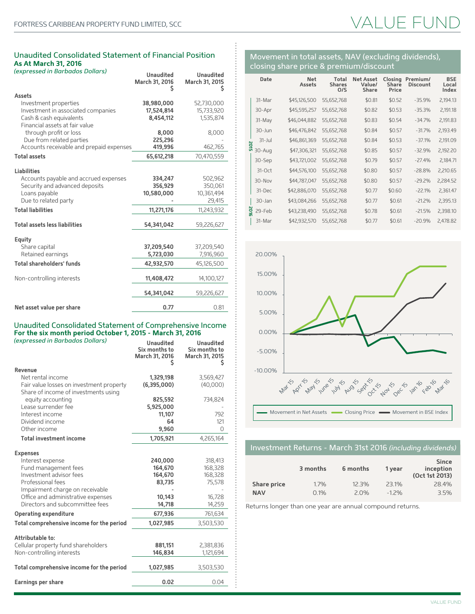## VALUE FU

## Unaudited Consolidated Statement of Financial Position **As At March 31, 2016**

| (expressed in Barbados Dollars)          | <b>Unaudited</b><br>March 31, 2016<br>s | <b>Unaudited</b><br>March 31, 2015<br>s |
|------------------------------------------|-----------------------------------------|-----------------------------------------|
| <b>Assets</b>                            |                                         |                                         |
| Investment properties                    | 38,980,000                              | 52,730,000                              |
| Investment in associated companies       | 17,524,814                              | 15,733,920                              |
| Cash & cash equivalents                  | 8,454,112                               | 1,535,874                               |
| Financial assets at fair value           |                                         |                                         |
| through profit or loss                   | 8,000                                   | 8,000                                   |
| Due from related parties                 | 225,296                                 |                                         |
| Accounts receivable and prepaid expenses | 419,996                                 | 462,765                                 |
| <b>Total assets</b>                      | 65,612,218                              | 70,470,559                              |
|                                          |                                         |                                         |
| <b>Liabilities</b>                       |                                         |                                         |
| Accounts payable and accrued expenses    | 334,247                                 | 502,962                                 |
| Security and advanced deposits           | 356,929                                 | 350,061                                 |
| Loans payable                            | 10,580,000                              | 10,361,494                              |
| Due to related party                     |                                         | 29,415                                  |
| <b>Total liabilities</b>                 | 11,271,176                              | 11,243,932                              |
|                                          |                                         |                                         |
| <b>Total assets less liabilities</b>     | 54,341,042                              | 59,226,627                              |
| Equity                                   |                                         |                                         |
| Share capital                            | 37,209,540                              | 37,209,540                              |
| Retained earnings                        | 5,723,030                               | 7,916,960                               |
| <b>Total shareholders' funds</b>         | 42,932,570                              | 45,126,500                              |
|                                          |                                         |                                         |
| Non-controlling interests                | 11,408,472                              | 14,100,127                              |
|                                          |                                         |                                         |
|                                          | 54,341,042                              | 59,226,627                              |
| Net asset value per share                | 0.77                                    | 0.81                                    |
|                                          |                                         |                                         |

## Unaudited Consolidated Statement of Comprehensive Income **For the six month period October 1, 2015 - March 31, 2016**

| (expressed in Barbados Dollars)                                                  | <b>Unaudited</b><br>Six months to<br>March 31, 2016<br>s | <b>Unaudited</b><br>Six months to<br>March 31, 2015<br>s |
|----------------------------------------------------------------------------------|----------------------------------------------------------|----------------------------------------------------------|
| Revenue                                                                          |                                                          |                                                          |
| Net rental income                                                                | 1,329,198                                                | 3,569,427                                                |
| Fair value losses on investment property<br>Share of income of investments using | (6,395,000)                                              | (40,000)                                                 |
| equity accounting                                                                | 825,592                                                  | 734,824                                                  |
| Lease surrender fee                                                              | 5,925,000                                                |                                                          |
| Interest income                                                                  | 11,107                                                   | 792                                                      |
| Dividend income                                                                  | 64                                                       | 121                                                      |
| Other income                                                                     | 9,960                                                    | $\Omega$                                                 |
| <b>Total investment income</b>                                                   | 1,705,921                                                | 4,265,164                                                |
| <b>Expenses</b>                                                                  |                                                          |                                                          |
| Interest expense                                                                 | 240,000                                                  | 318,413                                                  |
| Fund management fees                                                             | 164,670                                                  | 168,328                                                  |
| Investment advisor fees                                                          | 164,670                                                  | 168,328                                                  |
| Professional fees                                                                | 83,735                                                   | 75,578                                                   |
| Impairment charge on receivable                                                  |                                                          |                                                          |
| Office and administrative expenses                                               | 10,143                                                   | 16,728                                                   |
| Directors and subcommittee fees                                                  | 14,718                                                   | 14,259                                                   |
| <b>Operating expenditure</b>                                                     | 677,936                                                  | 761,634                                                  |
| Total comprehensive income for the period                                        | 1,027,985                                                | 3,503,530                                                |
| Attributable to:                                                                 |                                                          |                                                          |
| Cellular property fund shareholders                                              | 881,151                                                  | 2,381,836                                                |
| Non-controlling interests                                                        | 146,834                                                  | 1,121,694                                                |
| Total comprehensive income for the period                                        | 1,027,985                                                | 3,503,530                                                |
| Earnings per share                                                               | 0.02                                                     | 0.04                                                     |
|                                                                                  |                                                          |                                                          |

## Movement in total assets, NAV (excluding dividends), closing share price & premium/discount

|            | Date      | <b>Net</b><br><b>Assets</b> | Total<br><b>Shares</b><br>O/S | <b>Net Asset</b><br>Value/<br><b>Share</b> | Closing<br><b>Share</b><br>Price | Premium/<br><b>Discount</b> | <b>BSE</b><br>Local<br>Index |
|------------|-----------|-----------------------------|-------------------------------|--------------------------------------------|----------------------------------|-----------------------------|------------------------------|
|            | 31-Mar    | \$45,126,500                | 55,652,768                    | \$0.81                                     | \$0.52                           | $-35.9%$                    | 2,194.13                     |
|            | 30-Apr    | \$45,595,257                | 55,652,768                    | \$0.82                                     | \$0.53                           | $-35.3%$                    | 2,191.18                     |
|            | 31-May    | \$46,044,882                | 55,652,768                    | \$0.83                                     | \$0.54                           | $-34.7%$                    | 2,191.83                     |
|            | 30-Jun    | \$46,476,842                | 55,652,768                    | \$0.84                                     | \$0.57                           | $-31.7%$                    | 2,193.49                     |
|            | $31 - Ju$ | \$46,861,369                | 55,652,768                    | \$0.84                                     | \$0.53                           | $-37.1%$                    | 2,191.09                     |
| <b>SLO</b> | 30-Aug    | \$47,306,321                | 55,652,768                    | \$0.85                                     | \$0.57                           | $-32.9%$                    | 2,192.20                     |
|            | 30-Sep    | \$43,721,002                | 55,652,768                    | \$0.79                                     | \$0.57                           | $-27.4%$                    | 2,184.71                     |
|            | $31-Oct$  | \$44,576,100                | 55,652,768                    | \$0.80                                     | \$0.57                           | $-28.8%$                    | 2,210.65                     |
|            | 30-Nov    | \$44,787,047                | 55,652,768                    | \$0.80                                     | \$0.57                           | $-29.2%$                    | 2,284.52                     |
|            | 31-Dec    | \$42,886,070                | 55,652,768                    | \$0.77                                     | \$0.60                           | $-22.1%$                    | 2,361.47                     |
|            | 30-Jan    | \$43,084,266                | 55,652,768                    | \$0.77                                     | \$0.61                           | $-21.2%$                    | 2,395.13                     |
| š          | 29-Feb    | \$43,238,490                | 55,652,768                    | \$0.78                                     | \$0.61                           | $-21.5%$                    | 2,398.10                     |
|            | 31-Mar    | \$42,932,570                | 55,652,768                    | \$0.77                                     | \$0.61                           | $-20.9%$                    | 2,478.82                     |



## Investment Returns - March 31st 2016 *(including dividends)*

|                    | 3 months | 6 months | 1 year   | <b>Since</b><br>inception<br>(Oct 1st 2013) |
|--------------------|----------|----------|----------|---------------------------------------------|
| <b>Share price</b> | 1.7%     | 12.3%    | 23.1%    | 28.4%                                       |
| <b>NAV</b>         | 0.1%     | 2.0%     | $-1.2\%$ | 3.5%                                        |

Returns longer than one year are annual compound returns.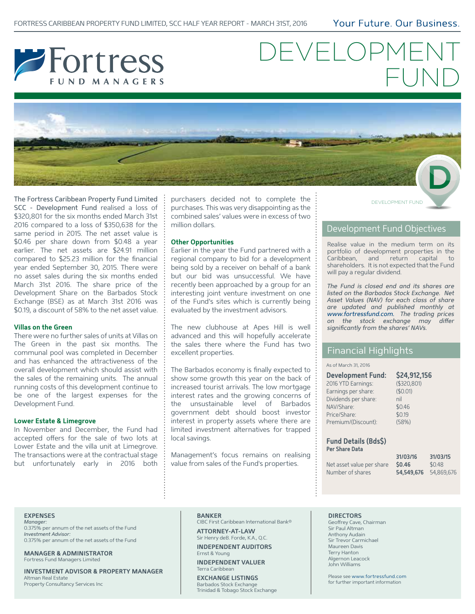Your Future, Our Business.



# DEVELOPME FUND



The Fortress Caribbean Property Fund Limited SCC - Development Fund realised a loss of \$320,801 for the six months ended March 31st 2016 compared to a loss of \$350,638 for the same period in 2015. The net asset value is \$0.46 per share down from \$0.48 a year earlier. The net assets are \$24.91 million compared to \$25.23 million for the financial year ended September 30, 2015. There were no asset sales during the six months ended March 31st 2016. The share price of the Development Share on the Barbados Stock Exchange (BSE) as at March 31st 2016 was \$0.19, a discount of 58% to the net asset value.

#### **Villas on the Green**

There were no further sales of units at Villas on The Green in the past six months. The communal pool was completed in December and has enhanced the attractiveness of the overall development which should assist with the sales of the remaining units. The annual running costs of this development continue to be one of the largest expenses for the Development Fund.

#### **Lower Estate & Limegrove**

In November and December, the Fund had accepted offers for the sale of two lots at Lower Estate and the villa unit at Limegrove. The transactions were at the contractual stage but unfortunately early in 2016 both

purchasers decided not to complete the purchases. This was very disappointing as the combined sales' values were in excess of two million dollars.

#### **Other Opportunities**

Earlier in the year the Fund partnered with a regional company to bid for a development being sold by a receiver on behalf of a bank but our bid was unsuccessful. We have recently been approached by a group for an interesting joint venture investment on one of the Fund's sites which is currently being evaluated by the investment advisors.

The new clubhouse at Apes Hill is well advanced and this will hopefully accelerate the sales there where the Fund has two excellent properties.

The Barbados economy is finally expected to show some growth this year on the back of increased tourist arrivals. The low mortgage interest rates and the growing concerns of the unsustainable level of Barbados government debt should boost investor interest in property assets where there are limited investment alternatives for trapped local savings.

Management's focus remains on realising value from sales of the Fund's properties.

DEVELOPMENT FUND

## Development Fund Objectives

Realise value in the medium term on its portfolio of development properties in the Caribbean, and return capital to shareholders. It is not expected that the Fund will pay a regular dividend.

*The Fund is closed end and its shares are listed on the Barbados Stock Exchange. Net Asset Values (NAV) for each class of share are updated and published monthly at www.fortressfund.com. The trading prices*  on the stock exchange may differ *significantly from the shares' NAVs.*

## Financial Highlights

#### As of March 31, 2016

| <b>Development Fund:</b> | \$24,912,156 |
|--------------------------|--------------|
| 2016 YTD Earnings:       | (\$320,801)  |
| Earnings per share:      | (\$0.01)     |
| Dividends per share:     | nil          |
| NAV/Share:               | \$0.46       |
| Price/Share:             | \$0.19       |
| Premium/(Discount):      | (58%)        |

#### **Fund Details (Bds\$) Per Share Data**

**31/03/16 31/03/15** Net asset value per share  $$0.46$  \$0.48 Number of shares **54,549,676** 54,869,676

## **EXPENSES**

*Manager:*  0.375% per annum of the net assets of the Fund *Investment Advisor:*  0.375% per annum of the net assets of the Fund

**MANAGER & ADMINISTRATOR** Fortress Fund Managers Limited

**INVESTMENT ADVISOR & PROPERTY MANAGER** Altman Real Estate Property Consultancy Services Inc

#### **BANKER**

CIBC First Caribbean International Bank® **ATTORNEY-AT-LAW**

Sir Henry deB. Forde, K.A., Q.C. **INDEPENDENT AUDITORS**

Ernst & Young **INDEPENDENT VALUER**

Terra Caribbean

**EXCHANGE LISTINGS** Barbados Stock Exchange Trinidad & Tobago Stock Exchange

#### **DIRECTORS**

Geoffrey Cave, Chairman Sir Paul Altman Anthony Audain Sir Trevor Carmichael Maureen Davis Terry Hanton Algernon Leacock John Williams

Please see www.fortressfund.com for further important information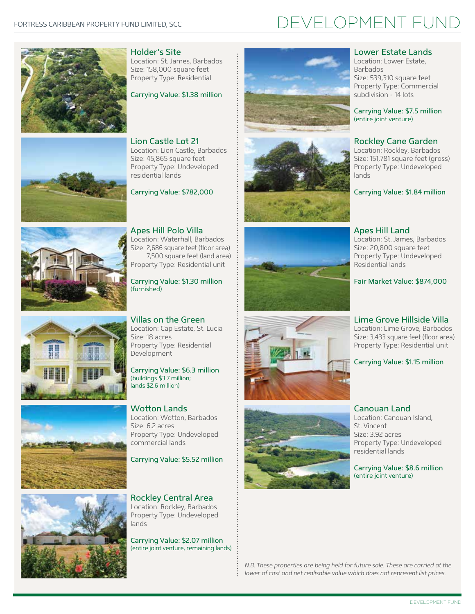# DEVELOPMENT FUND



Holder's Site Location: St. James, Barbados Size: 158,000 square feet Property Type: Residential

Carrying Value: \$1.38 million





Carrying Value: \$782,000









Apes Hill Polo Villa Location: Waterhall, Barbados Size: 2,686 square feet (floor area) 7,500 square feet (land area) Property Type: Residential unit

Carrying Value: \$1.30 million (furnished)

Villas on the Green Location: Cap Estate, St. Lucia Size: 18 acres Property Type: Residential Development

Carrying Value: \$6.3 million (buildings \$3.7 million; lands \$2.6 million)

Wotton Lands Location: Wotton, Barbados Size: 6.2 acres Property Type: Undeveloped commercial lands

Carrying Value: \$5.52 million

Rockley Central Area Location: Rockley, Barbados Property Type: Undeveloped lands

Carrying Value: \$2.07 million (entire joint venture, remaining lands)











#### Lower Estate Lands Location: Lower Estate,

Barbados Size: 539,310 square feet Property Type: Commercial subdivision - 14 lots

Carrying Value: \$7.5 million (entire joint venture)

## Rockley Cane Garden

Location: Rockley, Barbados Size: 151,781 square feet (gross) Property Type: Undeveloped lands

Carrying Value: \$1.84 million

Apes Hill Land Location: St. James, Barbados Size: 20,800 square feet Property Type: Undeveloped Residential lands

Fair Market Value: \$874,000

## Lime Grove Hillside Villa

Location: Lime Grove, Barbados Size: 3,433 square feet (floor area) Property Type: Residential unit

## Carrying Value: \$1.15 million

## Canouan Land Location: Canouan Island, St. Vincent Size: 3.92 acres Property Type: Undeveloped residential lands

Carrying Value: \$8.6 million (entire joint venture)

*N.B. These properties are being held for future sale. These are carried at the lower of cost and net realisable value which does not represent list prices.*